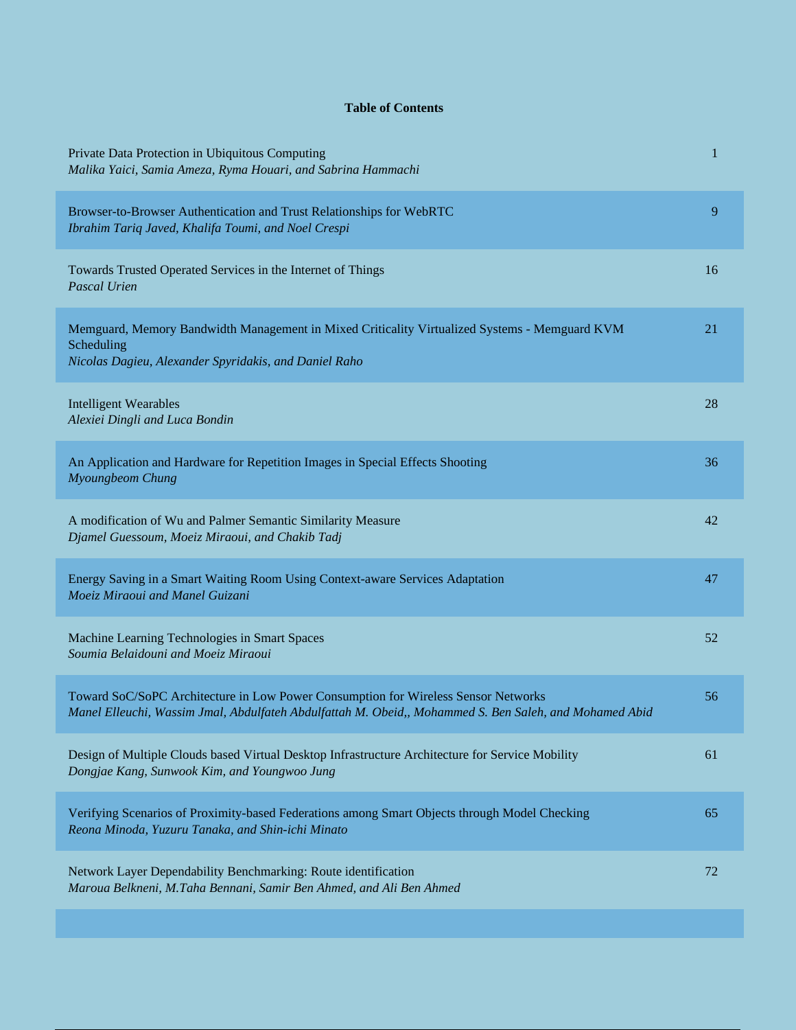## **Table of Contents**

| Private Data Protection in Ubiquitous Computing<br>Malika Yaici, Samia Ameza, Ryma Houari, and Sabrina Hammachi                                                                              | 1  |
|----------------------------------------------------------------------------------------------------------------------------------------------------------------------------------------------|----|
| Browser-to-Browser Authentication and Trust Relationships for WebRTC<br>Ibrahim Tariq Javed, Khalifa Toumi, and Noel Crespi                                                                  | 9  |
| Towards Trusted Operated Services in the Internet of Things<br>Pascal Urien                                                                                                                  | 16 |
| Memguard, Memory Bandwidth Management in Mixed Criticality Virtualized Systems - Memguard KVM<br>Scheduling<br>Nicolas Dagieu, Alexander Spyridakis, and Daniel Raho                         | 21 |
| <b>Intelligent Wearables</b><br>Alexiei Dingli and Luca Bondin                                                                                                                               | 28 |
| An Application and Hardware for Repetition Images in Special Effects Shooting<br>Myoungbeom Chung                                                                                            | 36 |
| A modification of Wu and Palmer Semantic Similarity Measure<br>Djamel Guessoum, Moeiz Miraoui, and Chakib Tadj                                                                               | 42 |
| Energy Saving in a Smart Waiting Room Using Context-aware Services Adaptation<br>Moeiz Miraoui and Manel Guizani                                                                             | 47 |
| Machine Learning Technologies in Smart Spaces<br>Soumia Belaidouni and Moeiz Miraoui                                                                                                         | 52 |
| Toward SoC/SoPC Architecture in Low Power Consumption for Wireless Sensor Networks<br>Manel Elleuchi, Wassim Jmal, Abdulfateh Abdulfattah M. Obeid,, Mohammed S. Ben Saleh, and Mohamed Abid | 56 |
| Design of Multiple Clouds based Virtual Desktop Infrastructure Architecture for Service Mobility<br>Dongjae Kang, Sunwook Kim, and Youngwoo Jung                                             | 61 |
| Verifying Scenarios of Proximity-based Federations among Smart Objects through Model Checking<br>Reona Minoda, Yuzuru Tanaka, and Shin-ichi Minato                                           | 65 |
| Network Layer Dependability Benchmarking: Route identification<br>Maroua Belkneni, M.Taha Bennani, Samir Ben Ahmed, and Ali Ben Ahmed                                                        | 72 |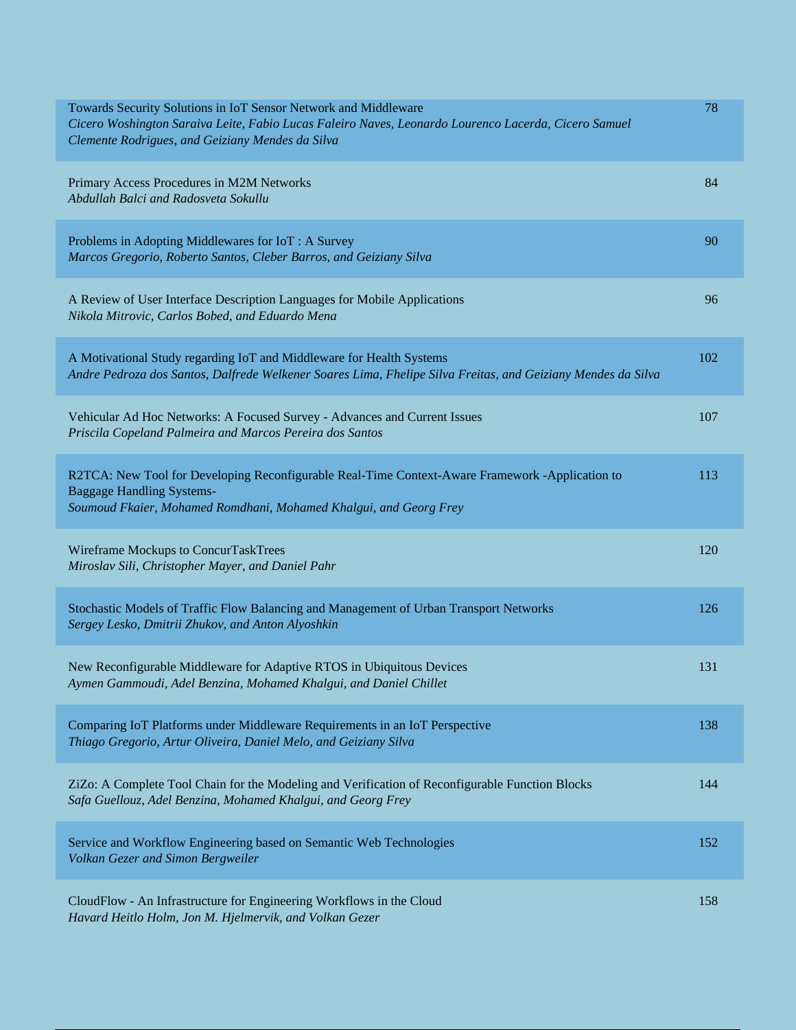| Towards Security Solutions in IoT Sensor Network and Middleware<br>Cicero Woshington Saraiva Leite, Fabio Lucas Faleiro Naves, Leonardo Lourenco Lacerda, Cicero Samuel<br>Clemente Rodrigues, and Geiziany Mendes da Silva | 78  |
|-----------------------------------------------------------------------------------------------------------------------------------------------------------------------------------------------------------------------------|-----|
| Primary Access Procedures in M2M Networks<br>Abdullah Balci and Radosveta Sokullu                                                                                                                                           | 84  |
| Problems in Adopting Middlewares for IoT: A Survey<br>Marcos Gregorio, Roberto Santos, Cleber Barros, and Geiziany Silva                                                                                                    | 90  |
| A Review of User Interface Description Languages for Mobile Applications<br>Nikola Mitrovic, Carlos Bobed, and Eduardo Mena                                                                                                 | 96  |
| A Motivational Study regarding IoT and Middleware for Health Systems<br>Andre Pedroza dos Santos, Dalfrede Welkener Soares Lima, Fhelipe Silva Freitas, and Geiziany Mendes da Silva                                        | 102 |
| Vehicular Ad Hoc Networks: A Focused Survey - Advances and Current Issues<br>Priscila Copeland Palmeira and Marcos Pereira dos Santos                                                                                       | 107 |
| R2TCA: New Tool for Developing Reconfigurable Real-Time Context-Aware Framework -Application to<br><b>Baggage Handling Systems-</b><br>Soumoud Fkaier, Mohamed Romdhani, Mohamed Khalgui, and Georg Frey                    | 113 |
| Wireframe Mockups to ConcurTaskTrees<br>Miroslav Sili, Christopher Mayer, and Daniel Pahr                                                                                                                                   | 120 |
| Stochastic Models of Traffic Flow Balancing and Management of Urban Transport Networks<br>Sergey Lesko, Dmitrii Zhukov, and Anton Alyoshkin                                                                                 | 126 |
| New Reconfigurable Middleware for Adaptive RTOS in Ubiquitous Devices<br>Aymen Gammoudi, Adel Benzina, Mohamed Khalgui, and Daniel Chillet                                                                                  | 131 |
| Comparing IoT Platforms under Middleware Requirements in an IoT Perspective<br>Thiago Gregorio, Artur Oliveira, Daniel Melo, and Geiziany Silva                                                                             | 138 |
| ZiZo: A Complete Tool Chain for the Modeling and Verification of Reconfigurable Function Blocks<br>Safa Guellouz, Adel Benzina, Mohamed Khalgui, and Georg Frey                                                             | 144 |
| Service and Workflow Engineering based on Semantic Web Technologies<br>Volkan Gezer and Simon Bergweiler                                                                                                                    | 152 |
| CloudFlow - An Infrastructure for Engineering Workflows in the Cloud<br>Havard Heitlo Holm, Jon M. Hjelmervik, and Volkan Gezer                                                                                             | 158 |